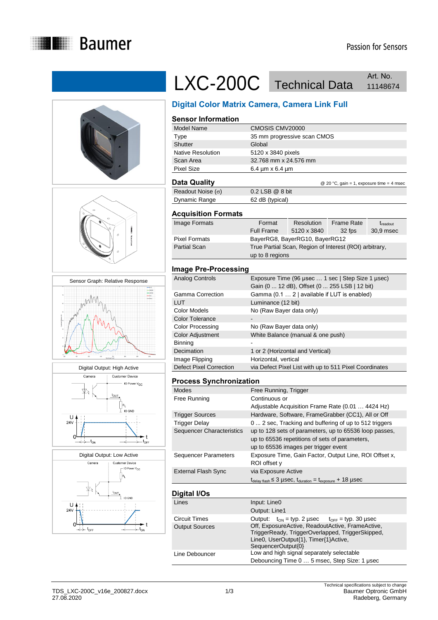











# LXC-200C Technical Data Art. No. Art. No.

## **Digital Color Matrix Camera, Camera Link Full**

## **Sensor Information**

| Model Name        | CMOSIS CMV20000             |
|-------------------|-----------------------------|
| Type              | 35 mm progressive scan CMOS |
| Shutter           | Global                      |
| Native Resolution | 5120 x 3840 pixels          |
| Scan Area         | 32.768 mm x 24.576 mm       |
| <b>Pixel Size</b> | 6.4 $\mu$ m x 6.4 $\mu$ m   |
|                   |                             |

### **Data Quality Data Quality Data Cuality Data Cuality CO** 20 °C, gain = 1, exposure time = 4 msec

| -------                  |                     |  |  |
|--------------------------|---------------------|--|--|
| Readout Noise $(\sigma)$ | $0.2$ LSB $@$ 8 bit |  |  |
| Dynamic Range            | 62 dB (typical)     |  |  |
|                          |                     |  |  |

#### **Acquisition Formats**

| Image Formats        | Format            | Resolution                     | <b>Frame Rate</b>                                      | <i><b>Treadout</b></i> |
|----------------------|-------------------|--------------------------------|--------------------------------------------------------|------------------------|
|                      | <b>Full Frame</b> | 5120 x 3840                    | 32 fps                                                 | 30,9 msec              |
| <b>Pixel Formats</b> |                   | BayerRG8, BayerRG10, BayerRG12 |                                                        |                        |
| <b>Partial Scan</b>  |                   |                                | True Partial Scan, Region of Interest (ROI) arbitrary, |                        |
|                      | up to 8 regions   |                                |                                                        |                        |

### **Image Pre-Processing**

| Analog Controls                | Exposure Time (96 usec  1 sec   Step Size 1 usec)<br>Gain (0  12 dB), Offset (0  255 LSB   12 bit) |
|--------------------------------|----------------------------------------------------------------------------------------------------|
| Gamma Correction               | Gamma (0.1  2   available if LUT is enabled)                                                       |
| LUT                            | Luminance (12 bit)                                                                                 |
| Color Models                   | No (Raw Bayer data only)                                                                           |
| <b>Color Tolerance</b>         |                                                                                                    |
| <b>Color Processing</b>        | No (Raw Bayer data only)                                                                           |
| Color Adjustment               | White Balance (manual & one push)                                                                  |
| Binning                        |                                                                                                    |
| Decimation                     | 1 or 2 (Horizontal and Vertical)                                                                   |
| Image Flipping                 | Horizontal, vertical                                                                               |
| <b>Defect Pixel Correction</b> | via Defect Pixel List with up to 511 Pixel Coordinates                                             |

#### **Process Synchronization**

| Modes                      | Free Running, Trigger                                                                                                                            |
|----------------------------|--------------------------------------------------------------------------------------------------------------------------------------------------|
| Free Running               | Continuous or                                                                                                                                    |
|                            | Adjustable Acquisition Frame Rate (0.01  4424 Hz)                                                                                                |
| <b>Trigger Sources</b>     | Hardware, Software, FrameGrabber (CC1), All or Off                                                                                               |
| Trigger Delay              | 0  2 sec, Tracking and buffering of up to 512 triggers                                                                                           |
| Sequencer Characteristics  | up to 128 sets of parameters, up to 65536 loop passes,<br>up to 65536 repetitions of sets of parameters,<br>up to 65536 images per trigger event |
| Sequencer Parameters       | Exposure Time, Gain Factor, Output Line, ROI Offset x,<br>ROI offset y                                                                           |
| <b>External Flash Sync</b> | via Exposure Active                                                                                                                              |
|                            | $t_{\text{delay flash}} \leq 3$ µSeC, $t_{\text{duration}} = t_{\text{exposure}} + 18$ µSeC                                                      |
|                            |                                                                                                                                                  |

#### **Digital I/Os**

| Lines                 | Input: Line0                                                                                                                                                        |  |
|-----------------------|---------------------------------------------------------------------------------------------------------------------------------------------------------------------|--|
|                       | Output: Line1                                                                                                                                                       |  |
| Circuit Times         | Output: $t_{ON} = typ. 2 \,\mu sec$ $t_{OFF} = typ. 30 \,\mu sec$                                                                                                   |  |
| <b>Output Sources</b> | Off, ExposureActive, ReadoutActive, FrameActive,<br>TriggerReady, TriggerOverlapped, TriggerSkipped,<br>Line0, UserOutput{1}, Timer{1}Active,<br>SequencerOutput{0} |  |
| Line Debouncer        | Low and high signal separately selectable<br>Debouncing Time 0  5 msec, Step Size: 1 usec                                                                           |  |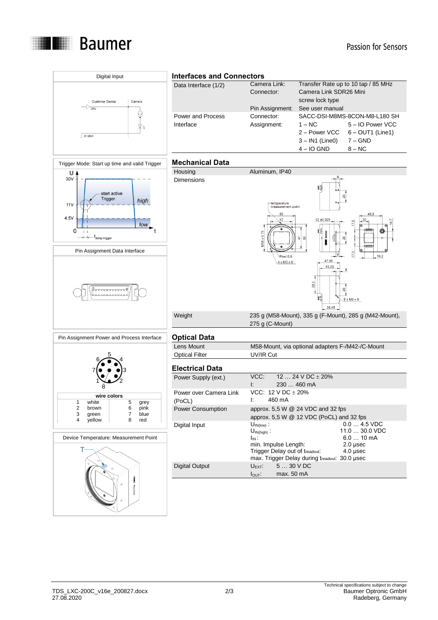